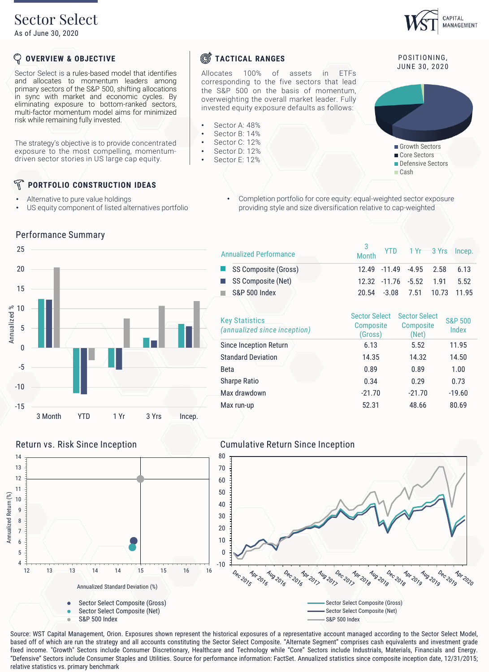# Sector Select

As of June 30, 2020

#### ${\mathbb Q}$ **OVERVIEW & OBJECTIVE**

Sector Select is a rules-based model that identifies and allocates to momentum leaders among primary sectors of the S&P 500, shifting allocations in sync with market and economic cycles. By eliminating exposure to bottom-ranked sectors, multi-factor momentum model aims for minimized risk while remaining fully invested.

The strategy's objective is to provide concentrated exposure to the most compelling, momentumdriven sector stories in US large cap equity.

#### N **PORTFOLIO CONSTRUCTION IDEAS**

Alternative to pure value holdings

Performance Summary

• US equity component of listed alternatives portfolio

• Completion portfolio for core equity: equal-weighted sector exposure providing style and size diversification relative to cap-weighted



Sector Select Composite (Net)

S&P 500 Index

| <b>Annualized Performance</b>                         | 3<br><b>Month</b>                                   | <b>YTD</b> |                                                   | 1 Yr 3 Yrs | Incep.                      |
|-------------------------------------------------------|-----------------------------------------------------|------------|---------------------------------------------------|------------|-----------------------------|
| SS Composite (Gross)                                  | 12.49                                               | $-11.49$   | $-4.95$                                           | 2.58       | 6.13                        |
| SS Composite (Net)                                    | 12.32                                               | $-11.76$   | $-5.52$                                           | 1.91       | 5.52                        |
| <b>S&amp;P 500 Index</b>                              | 20.54                                               | $-3.08$    | 7.51                                              | 10.73      | 11.95                       |
|                                                       |                                                     |            |                                                   |            |                             |
| <b>Key Statistics</b><br>(annualized since inception) | <b>Sector Select</b><br><b>Composite</b><br>(Gross) |            | <b>Sector Select</b><br><b>Composite</b><br>(Net) |            | <b>S&amp;P 500</b><br>Index |
| Since Inception Return                                | 6.13                                                |            | 5.52                                              |            | 11.95                       |
| <b>Standard Deviation</b>                             | 14.35                                               |            | 14.32                                             |            | 14.50                       |
| Beta                                                  | 0.89                                                |            | 0.89                                              |            | 1.00                        |
| <b>Sharpe Ratio</b>                                   | 0.34                                                |            | 0.29                                              |            | 0.73                        |
| Max drawdown                                          | $-21.70$                                            |            | $-21.70$                                          |            | $-19.60$                    |
| Max run-up                                            | 52.31                                               |            | 48.66                                             |            | 80.69                       |

Sector Select Composite (Net)

Dec 2019

Apr 2020

S&P 500 Index



Source: WST Capital Management, Orion. Exposures shown represent the historical exposures of a representative account managed according to the Sector Select Model, based off of which are run the strategy and all accounts constituting the Sector Select Composite. "Alternate Segment" comprises cash equivalents and investment grade fixed income. "Growth" Sectors include Consumer Discretionary, Healthcare and Technology while "Core" Sectors include Industrials, Materials, Financials and Energy. "Defensive" Sectors include Consumer Staples and Utilities. Source for performance information: FactSet. Annualized statistics since composite inception date, 12/31/2015;

## **S**TACTICAL RANGES

Allocates 100% of assets in ETFs corresponding to the five sectors that lead the S&P 500 on the basis of momentum, overweighting the overall market leader. Fully invested equity exposure defaults as follows:

- Sector A: 48%
- Sector B: 14%
- Sector C: 12% Sector D: 12%
- Sector E: 12%

## POSITIONING. JUNE 30, 2020

CAPITAL MANAGEMENT